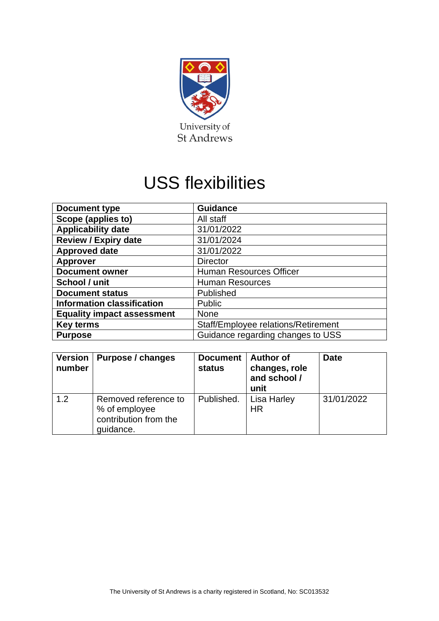

# USS flexibilities

| <b>Document type</b>              | <b>Guidance</b>                     |
|-----------------------------------|-------------------------------------|
| Scope (applies to)                | All staff                           |
| <b>Applicability date</b>         | 31/01/2022                          |
| <b>Review / Expiry date</b>       | 31/01/2024                          |
| <b>Approved date</b>              | 31/01/2022                          |
| <b>Approver</b>                   | <b>Director</b>                     |
| <b>Document owner</b>             | <b>Human Resources Officer</b>      |
| School / unit                     | <b>Human Resources</b>              |
| <b>Document status</b>            | Published                           |
| <b>Information classification</b> | <b>Public</b>                       |
| <b>Equality impact assessment</b> | <b>None</b>                         |
| <b>Key terms</b>                  | Staff/Employee relations/Retirement |
| <b>Purpose</b>                    | Guidance regarding changes to USS   |

| <b>Version</b><br>number | Purpose / changes                                                           | <b>Document</b><br>status | <b>Author of</b><br>changes, role<br>and school /<br>unit | <b>Date</b> |
|--------------------------|-----------------------------------------------------------------------------|---------------------------|-----------------------------------------------------------|-------------|
| 1.2                      | Removed reference to<br>% of employee<br>contribution from the<br>guidance. | Published.                | Lisa Harley<br>HR                                         | 31/01/2022  |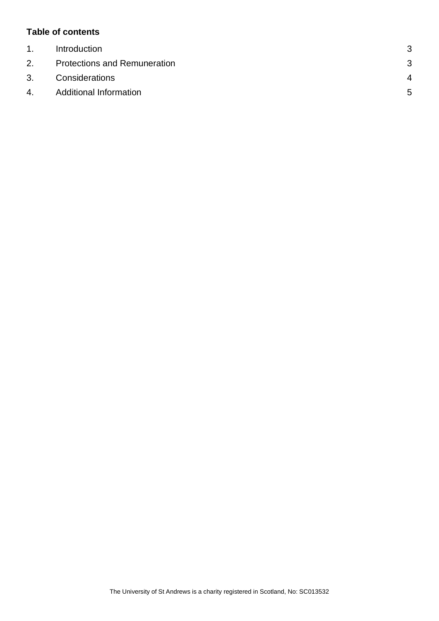#### **Table of contents**

| $\mathbf{1}$ . | Introduction                        | 3              |
|----------------|-------------------------------------|----------------|
| 2.             | <b>Protections and Remuneration</b> | 3              |
| 3.             | Considerations                      | $\overline{4}$ |
| 4.             | <b>Additional Information</b>       | 5              |
|                |                                     |                |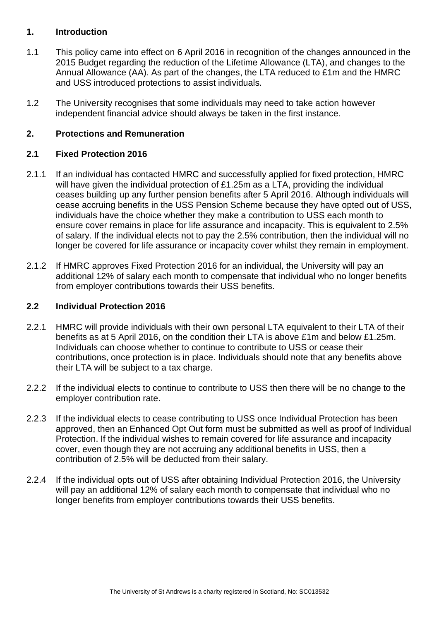#### <span id="page-2-0"></span>**1. Introduction**

- 1.1 This policy came into effect on 6 April 2016 in recognition of the changes announced in the 2015 Budget regarding the reduction of the Lifetime Allowance (LTA), and changes to the Annual Allowance (AA). As part of the changes, the LTA reduced to £1m and the HMRC and USS introduced protections to assist individuals.
- 1.2 The University recognises that some individuals may need to take action however independent financial advice should always be taken in the first instance.

## <span id="page-2-1"></span>**2. Protections and Remuneration**

#### **2.1 Fixed Protection 2016**

- 2.1.1 If an individual has contacted HMRC and successfully applied for fixed protection, HMRC will have given the individual protection of £1.25m as a LTA, providing the individual ceases building up any further pension benefits after 5 April 2016. Although individuals will cease accruing benefits in the USS Pension Scheme because they have opted out of USS, individuals have the choice whether they make a contribution to USS each month to ensure cover remains in place for life assurance and incapacity. This is equivalent to 2.5% of salary. If the individual elects not to pay the 2.5% contribution, then the individual will no longer be covered for life assurance or incapacity cover whilst they remain in employment.
- 2.1.2 If HMRC approves Fixed Protection 2016 for an individual, the University will pay an additional 12% of salary each month to compensate that individual who no longer benefits from employer contributions towards their USS benefits.

#### **2.2 Individual Protection 2016**

- 2.2.1 HMRC will provide individuals with their own personal LTA equivalent to their LTA of their benefits as at 5 April 2016, on the condition their LTA is above £1m and below £1.25m. Individuals can choose whether to continue to contribute to USS or cease their contributions, once protection is in place. Individuals should note that any benefits above their LTA will be subject to a tax charge.
- 2.2.2 If the individual elects to continue to contribute to USS then there will be no change to the employer contribution rate.
- 2.2.3 If the individual elects to cease contributing to USS once Individual Protection has been approved, then an Enhanced Opt Out form must be submitted as well as proof of Individual Protection. If the individual wishes to remain covered for life assurance and incapacity cover, even though they are not accruing any additional benefits in USS, then a contribution of 2.5% will be deducted from their salary.
- 2.2.4 If the individual opts out of USS after obtaining Individual Protection 2016, the University will pay an additional 12% of salary each month to compensate that individual who no longer benefits from employer contributions towards their USS benefits.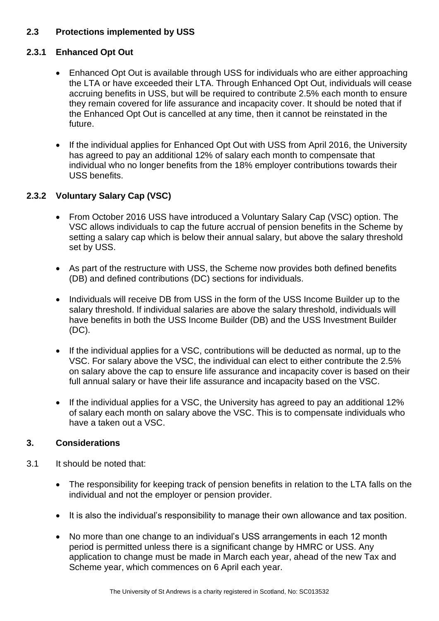## **2.3 Protections implemented by USS**

## **2.3.1 Enhanced Opt Out**

- Enhanced Opt Out is available through USS for individuals who are either approaching the LTA or have exceeded their LTA. Through Enhanced Opt Out, individuals will cease accruing benefits in USS, but will be required to contribute 2.5% each month to ensure they remain covered for life assurance and incapacity cover. It should be noted that if the Enhanced Opt Out is cancelled at any time, then it cannot be reinstated in the future.
- If the individual applies for Enhanced Opt Out with USS from April 2016, the University has agreed to pay an additional 12% of salary each month to compensate that individual who no longer benefits from the 18% employer contributions towards their USS benefits.

## **2.3.2 Voluntary Salary Cap (VSC)**

- From October 2016 USS have introduced a Voluntary Salary Cap (VSC) option. The VSC allows individuals to cap the future accrual of pension benefits in the Scheme by setting a salary cap which is below their annual salary, but above the salary threshold set by USS.
- As part of the restructure with USS, the Scheme now provides both defined benefits (DB) and defined contributions (DC) sections for individuals.
- Individuals will receive DB from USS in the form of the USS Income Builder up to the salary threshold. If individual salaries are above the salary threshold, individuals will have benefits in both the USS Income Builder (DB) and the USS Investment Builder (DC).
- If the individual applies for a VSC, contributions will be deducted as normal, up to the VSC. For salary above the VSC, the individual can elect to either contribute the 2.5% on salary above the cap to ensure life assurance and incapacity cover is based on their full annual salary or have their life assurance and incapacity based on the VSC.
- If the individual applies for a VSC, the University has agreed to pay an additional 12% of salary each month on salary above the VSC. This is to compensate individuals who have a taken out a VSC.

## <span id="page-3-0"></span>**3. Considerations**

- 3.1 It should be noted that:
	- The responsibility for keeping track of pension benefits in relation to the LTA falls on the individual and not the employer or pension provider.
	- It is also the individual's responsibility to manage their own allowance and tax position.
	- No more than one change to an individual's USS arrangements in each 12 month period is permitted unless there is a significant change by HMRC or USS. Any application to change must be made in March each year, ahead of the new Tax and Scheme year, which commences on 6 April each year.